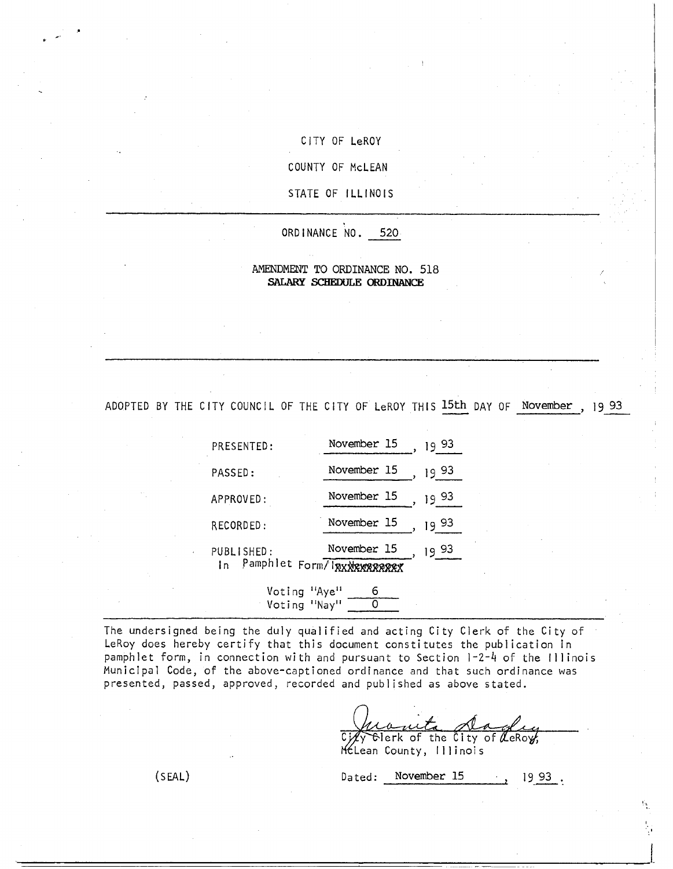### CITY OF LeROY

COUNTY OF McLEAN

STATE OF ILLINOIS

ORDINANCE NO. 520

#### AMENDMENT TO ORDINANCE NO. 518 **SALARY SCHEDULE ORDINANCE**

ADOPTED BY THE CITY COUNCIL OF THE CITY OF LeROY THIS 15th DAY OF November , 19 93

| PRESENTED:                     | November 15<br>93<br>19 |
|--------------------------------|-------------------------|
| PASSED:                        | November 15<br>93<br>19 |
| APPROVED:                      | November 15<br>93<br>19 |
| RECORDED:                      | November 15<br>93<br>19 |
| PUBLISHED:                     | November 15<br>93<br>19 |
| In Pamphlet Form/IRXXRXXRRRRRX |                         |

Voting "Nay" 0 The undersigned being the duly qualified and acting City Clerk of the City of LeRoy does hereby certify that this document constitutes the publication in pamphlet form, in connection with and pursuant to Section 1-2-4 of the Illinois Municipal Code, of the above-captioned ordinance and that such ordinance was

Voting "Aye" 6

presented, passed, approved, recorded and published as above stated.

Composed to the City of LeRoy,

McLean County, Illinois

(SEAL) Dated: November 15 19 93.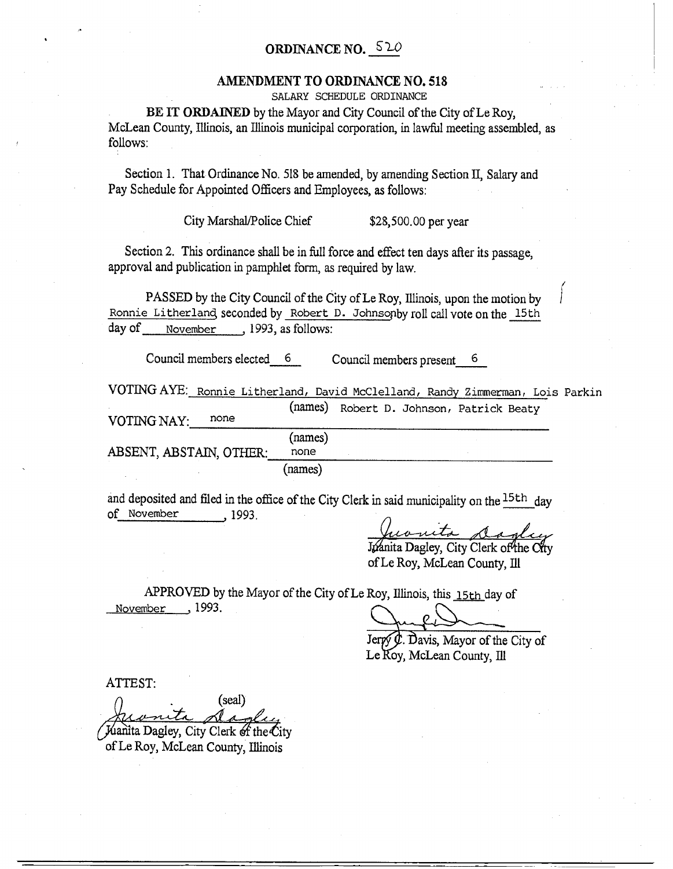# ORDINANCE NO.  $520$

### AMENDMENT TO ORDINANCE NO. 518

SALARY SCHEDULE ORDINANCE

BE IT ORDAINED by the Mayor and City Council of the City of Le Roy, McLean County, Illinois, an Illinois municipal corporation, in lawful meeting assembled, as follows:

Section 1. That Ordinance No. 518 be amended, by amending Section H, Salary and Pay Schedule for Appointed Officers and Employees, as follows:

City Marshal/Police Chief \$28,500.00 per year

Section 2. This ordinance shall be in full force and effect ten days after its passage, approval and publication in pamphlet form, as required by law.

PASSED by the City Council of the City of Le Roy, Illinois, upon the motion by Ronnie Litherland seconded by Robert D. Johnsopby roll call vote on the 15th day of **November** , 1993, as follows:

Council members elected 6 Council members present 6

VOTING AYE:\_ Ronnie Litherland, David McClelland, Randy Zimmerman, Lois Parkin (names) Robert D. Johnson, Patrick Beaty VOTING NAY: none (names) ABSENT, ABSTAIN, OTHER: none

(names)

and deposited and filed in the office of the City Clerk in said municipality on the  $15th$  day of November , 1993.

courts dada

Joanita Dagley, City Clerk of the City of Le Roy, McLean County, Ill

APPROVED by the Mayor of the City of Le Roy, Illinois, this 15th day of November , 1993.

i

 $\hat{\phi}$ . Davis, Mayor of the City of Le Roy, McLean County, Ill

ATTEST:

(seal)

Juanita Dagley, City Clerk of the City of Le Roy, McLean County, Illinois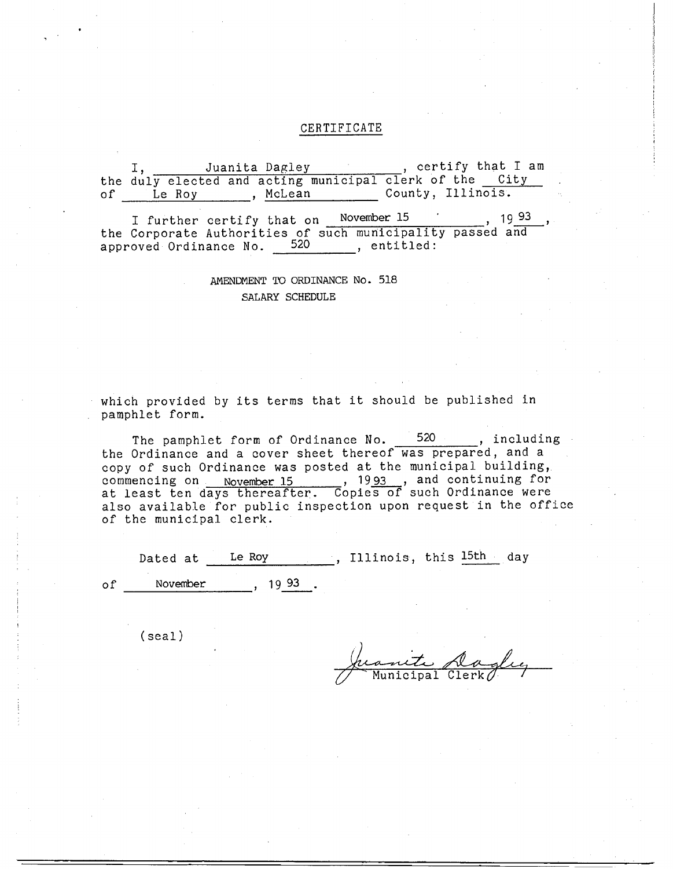#### CERTIFICATE

I, Juanita Dagley , certify that I am the duly elected and acting municipal clerk of the <u>City</u> of Le Roy , McLean County, Illinois. I further certify that on November 15 , 19 93 the Corporate Authorities of such municipality passed and approved Ordinance No. 520, entitled:

## AMENDMENT TO ORDINANCE No. 518 SALARY SCHEDULE

which provided by its terms that it should be published in pamphlet form.

The pamphlet form of Ordinance No. 520 , including the Ordinance and a cover sheet thereof was prepared, and a copy of such Ordinance was posted at the municipal building,. commencing on November 15 , 1993 , and continuing for at least ten days thereafter. Copies of such Ordinance were also available for public inspection upon request in the office of the municipal clerk.

Dated at \_\_\_\_Le\_Roy \_\_\_\_\_\_\_\_, Illinois, this l5th day of November , 1993.

(seal)

Municipal Clerk